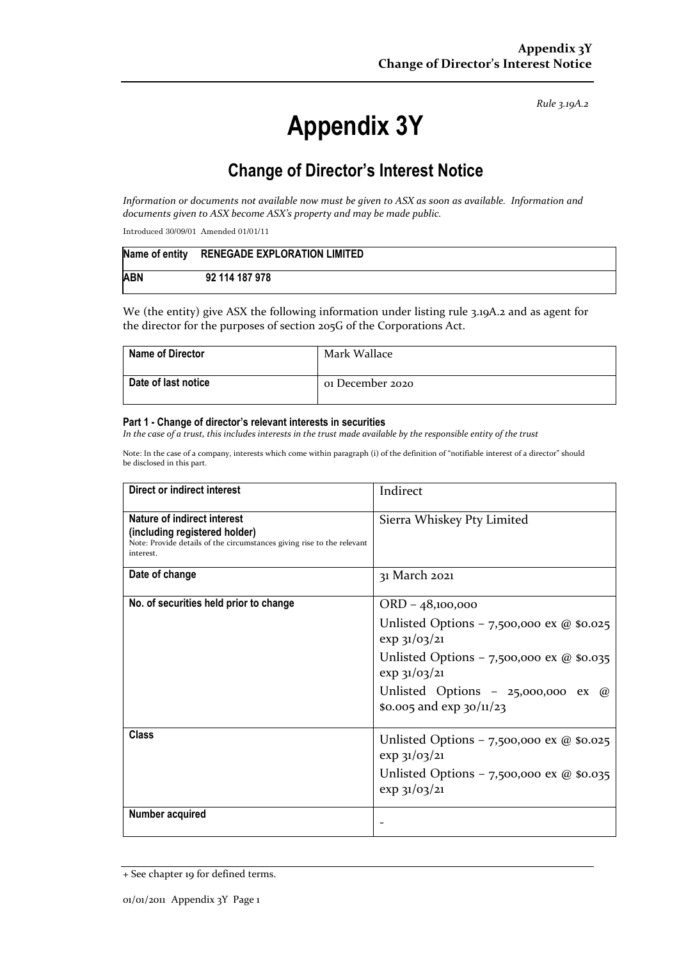*Rule 3.19A.2*

# **Appendix 3Y**

## **Change of Director's Interest Notice**

*Information or documents not available now must be given to ASX as soon as available. Information and documents given to ASX become ASX's property and may be made public.*

Introduced 30/09/01 Amended 01/01/11

|            | Name of entity RENEGADE EXPLORATION LIMITED |
|------------|---------------------------------------------|
| <b>ABN</b> | 92 114 187 978                              |

We (the entity) give ASX the following information under listing rule 3.19A.2 and as agent for the director for the purposes of section 205G of the Corporations Act.

| <b>Name of Director</b> | Mark Wallace     |
|-------------------------|------------------|
| Date of last notice     | 01 December 2020 |

#### **Part 1 - Change of director's relevant interests in securities**

*In the case of a trust, this includes interests in the trust made available by the responsible entity of the trust*

Note: In the case of a company, interests which come within paragraph (i) of the definition of "notifiable interest of a director" should be disclosed in this part.

| Direct or indirect interest                                                                                                                         | Indirect                                                                 |
|-----------------------------------------------------------------------------------------------------------------------------------------------------|--------------------------------------------------------------------------|
| Nature of indirect interest<br>(including registered holder)<br>Note: Provide details of the circumstances giving rise to the relevant<br>interest. | Sierra Whiskey Pty Limited                                               |
| Date of change                                                                                                                                      | 31 March 2021                                                            |
| No. of securities held prior to change                                                                                                              | ORD - 48,100,000                                                         |
|                                                                                                                                                     | Unlisted Options - 7,500,000 ex $@$ \$0.025<br>$\exp 31/03/21$           |
|                                                                                                                                                     | Unlisted Options - 7,500,000 ex @ \$0.035<br>$\exp 31/03/21$             |
|                                                                                                                                                     | Unlisted Options - 25,000,000 ex $\omega$<br>\$0.005 and $\exp$ 30/11/23 |
| Class                                                                                                                                               | Unlisted Options – 7,500,000 ex @ \$0.025<br>$\exp$ 31/03/21             |
|                                                                                                                                                     | Unlisted Options - 7,500,000 ex $@$ \$0.035<br>exp 31/03/21              |
| Number acquired                                                                                                                                     |                                                                          |

<sup>+</sup> See chapter 19 for defined terms.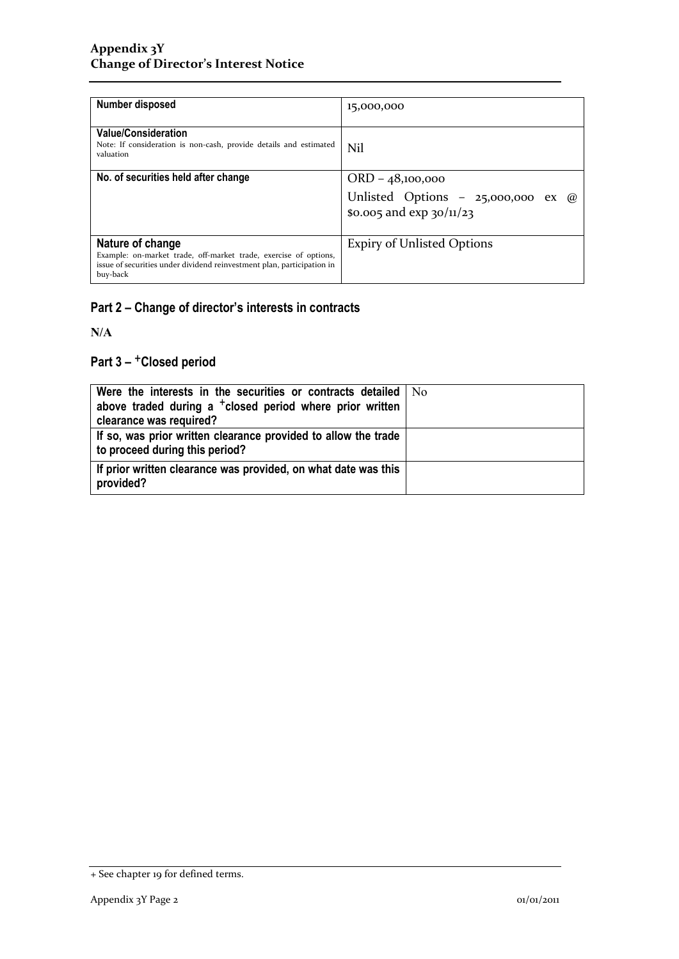| Number disposed                                                                                                                                                            | 15,000,000                                                        |
|----------------------------------------------------------------------------------------------------------------------------------------------------------------------------|-------------------------------------------------------------------|
| <b>Value/Consideration</b><br>Note: If consideration is non-cash, provide details and estimated<br>valuation                                                               | Nil                                                               |
| No. of securities held after change                                                                                                                                        | $ORD - 48,100,000$                                                |
|                                                                                                                                                                            | Unlisted Options - 25,000,000 ex @<br>\$0.005 and $\exp 30/11/23$ |
| Nature of change<br>Example: on-market trade, off-market trade, exercise of options,<br>issue of securities under dividend reinvestment plan, participation in<br>buy-back | <b>Expiry of Unlisted Options</b>                                 |

### **Part 2 – Change of director's interests in contracts**

**N/A**

### **Part 3 –** +**Closed period**

| Were the interests in the securities or contracts detailed   No<br>above traded during a <sup>+</sup> closed period where prior written<br>clearance was required? |  |
|--------------------------------------------------------------------------------------------------------------------------------------------------------------------|--|
| If so, was prior written clearance provided to allow the trade<br>to proceed during this period?                                                                   |  |
| If prior written clearance was provided, on what date was this<br>provided?                                                                                        |  |

<sup>+</sup> See chapter 19 for defined terms.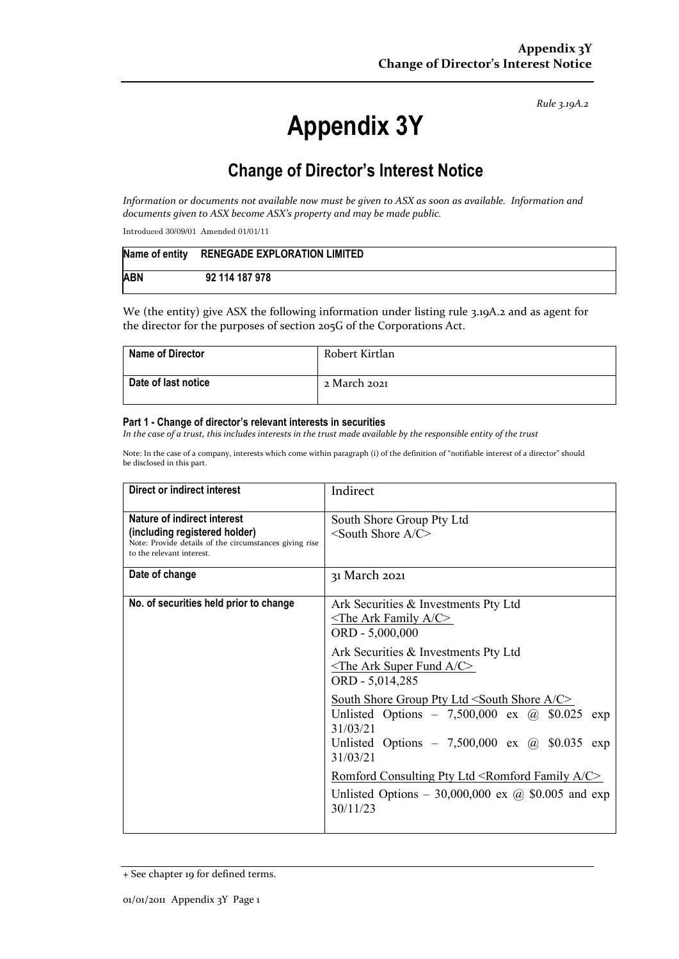*Rule 3.19A.2*

# **Appendix 3Y**

## **Change of Director's Interest Notice**

*Information or documents not available now must be given to ASX as soon as available. Information and documents given to ASX become ASX's property and may be made public.*

Introduced 30/09/01 Amended 01/01/11

| Name of entity | RENEGADE EXPLORATION LIMITED |
|----------------|------------------------------|
| <b>ABN</b>     | 92 114 187 978               |

We (the entity) give ASX the following information under listing rule 3.19A.2 and as agent for the director for the purposes of section 205G of the Corporations Act.

| <b>Name of Director</b> | Robert Kirtlan |
|-------------------------|----------------|
| Date of last notice     | 2 March 2021   |

#### **Part 1 - Change of director's relevant interests in securities**

*In the case of a trust, this includes interests in the trust made available by the responsible entity of the trust*

Note: In the case of a company, interests which come within paragraph (i) of the definition of "notifiable interest of a director" should be disclosed in this part.

| Direct or indirect interest                                                                                                                         | Indirect                                                                                                                                                                                                                       |
|-----------------------------------------------------------------------------------------------------------------------------------------------------|--------------------------------------------------------------------------------------------------------------------------------------------------------------------------------------------------------------------------------|
| Nature of indirect interest<br>(including registered holder)<br>Note: Provide details of the circumstances giving rise<br>to the relevant interest. | South Shore Group Pty Ltd<br>$\le$ South Shore A/C $>$                                                                                                                                                                         |
| Date of change                                                                                                                                      | 31 March 2021                                                                                                                                                                                                                  |
| No. of securities held prior to change                                                                                                              | Ark Securities & Investments Pty Ltd<br>$\le$ The Ark Family A/C><br>ORD - 5,000,000                                                                                                                                           |
|                                                                                                                                                     | Ark Securities & Investments Pty Ltd<br>$\le$ The Ark Super Fund A/C><br>ORD - 5,014,285                                                                                                                                       |
|                                                                                                                                                     | South Shore Group Pty Ltd <south a="" c="" shore=""><br/>Unlisted Options - 7,500,000 ex <math>\omega</math> \$0.025 exp<br/>31/03/21<br/>Unlisted Options - 7,500,000 ex <math>\omega</math> \$0.035 exp<br/>31/03/21</south> |
|                                                                                                                                                     | Romford Consulting Pty Ltd <romford a="" c="" family=""><br/>Unlisted Options – 30,000,000 ex @ \$0.005 and exp<br/>30/11/23</romford>                                                                                         |

<sup>+</sup> See chapter 19 for defined terms.